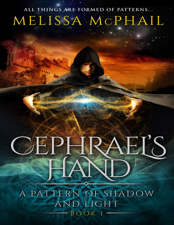# ALL THINGS ARE FORMED OF PATTERNS... MELISSA MCPHAIL

# EPHRAEI'S

A PATTERN OF SHADOW AND LIGHT BOOK 1-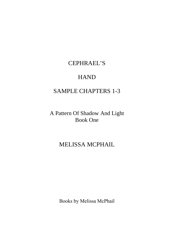### CEPHRAEL'S

# HAND

# **SAMPLE CHAPTERS 1-3**

A Pattern Of Shadow And Light Book One

MELISSA MCPHAIL

Books by Melissa McPhail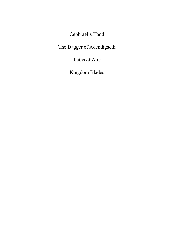Cephrael's Hand

The Dagger of Adendigaeth

Paths of Alir

Kingdom Blades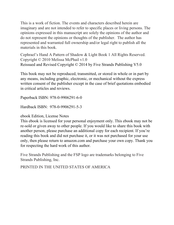This is a work of fiction. The events and characters described herein are imaginary and are not intended to refer to specific places or living persons. The opinions expressed in this manuscript are solely the opinions of the author and do not represent the opinions or thoughts of the publisher. The author has represented and warranted full ownership and/or legal right to publish all the materials in this book.

Cephrael's Hand A Pattern of Shadow & Light Book 1 All Rights Reserved. Copyright  $\odot$  2010 Melissa McPhail v1.0 Reissued and Revised Copyright  $\odot$  2014 by Five Strands Publishing V5.0

This book may not be reproduced, transmitted, or stored in whole or in part by any means, including graphic, electronic, or mechanical without the express written consent of the publisher except in the case of brief quotations embodied in critical articles and reviews.

Paperback ISBN: 978-0-9906291-6-0

Hardback ISBN: 978-0-9906291-5-3

ebook Edition, License Notes

This ebook is licensed for your personal enjoyment only. This ebook may not be re-sold or given away to other people. If you would like to share this book with another person, please purchase an additional copy for each recipient. If you're reading this book and did not purchase it, or it was not purchased for your use only, then please return to amazon.com and purchase your own copy. Thank you for respecting the hard work of this author.

Five Strands Publishing and the FSP logo are trademarks belonging to Five Strands Publishing, Inc.

PRINTED IN THE UNITED STATES OF AMERICA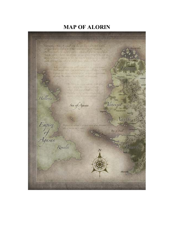**MAP OF ALORIN** 

Conveyor - When No confident the sea the activities of abident has a failed and have not of the real three to and of form and makes and strengthen the complete or complete or all 76 Said the said way had be too above out to a given The state of the context of and the first state of the control of **COL** won the Jakobson Getaming mind of the street per and n. **PERMIT HAD** Halleria Veneisea Sea of Agasan Xanthe Empire Bart of Jose Bearch indi.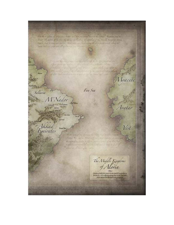October Sections of Above contained The said from the contact of the Neutron and Oil Late: The gains of the line has are associated about the gains of the Theodor Rospins, thoney weiler has to see out and court to see and an activities of 53707 ante Sillings and and all of Denver and El UNIL MONTH OF N  $-0.0011$ of die the liver Myacene Fire Sea Saldaria M'Nador Avatar Akkad<br>Emirates Vest Dani'Bal Wille Love of have the in the them has been many Annagen Commencer in the first the Seattle of the Commence of the Commence Coplan at come to convenient and he was to be the seat the seat of the sea The Middle Kingdoms<br>of Alorin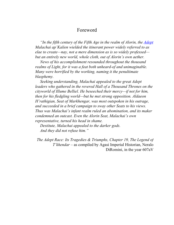#### Foreword

*"In the fifth century of the Fifth Age in the realm of Alorin, the Adept Malachai ap'Kalien wielded the itinerant power widely referred to as elae to create—nay, not a mere dimension as is so widely professed but an entirely new world, whole cloth, out of Alorin's own aether.* 

*News of his accomplishment resounded throughout the thousand realms of Light, for it was a feat both unheard-of and unimaginable. Many* were horrified by the working, naming it the penultimate *blasphemy.*

Seeking understanding, Malachai appealed to the great Adept *leaders* who gathered in the revered Hall of a Thousand Thrones on the *cityworld of Illume Belliel. He beseeched their mercy—if not for him, then for his fledgling world—but he met strong opposition. Aldaeon H*'rathigian, Seat of Markhengar, was most outspoken in his outrage, *and succeeded in a brief campaign to sway other Seats to his views.* Thus was Malachai's infant realm ruled an abomination, and its maker *condemned an outcast. Even the Alorin Seat, Malachai's own representative, turned his head in shame.* 

*Destitute, Malachai appealed to the darker gods.* And they did not refuse him."

*The Adept Race: Its Tragedies & Triumphs, Chapter 19, The Legend of T'khendar* – as compiled by Agasi Imperial Historian, Neralo DiRomini, in the year  $607aV$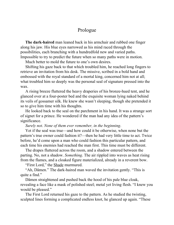#### Prologue

**The dark-haired** man leaned back in his armchair and rubbed one finger along his jaw. His blue eyes narrowed as his mind raced through the possibilities, each branching with a hundredfold new and varied paths. Impossible to try to predict the future when so many paths were in motion.

Much better to mold the future to one's own desires.

Shifting his gaze back to that which troubled him, he reached long fingers to retrieve an invitation from his desk. The missive, scribed in a bold hand and embossed with the royal standard of a mortal king, concerned him not at all; what troubled him so deeply was the personal seal of signature pressed into the wax.

A rising breeze fluttered the heavy draperies of his bronze-hued tent, and he glanced over at a four-poster bed and the exquisite woman lying naked behind its veils of gossamer silk. He knew she wasn't sleeping, though she pretended it so to give him time with his thoughts.

He looked back to the seal on the parchment in his hand. It was a strange sort of signet for a prince. He wondered if the man had any idea of the pattern's significance.

#### *Surely not. None of them ever remember, in the beginning.*

Yet if the seal was true—and how could it be otherwise, when none but the pattern's true owner could fashion it?—then he had very little time to act. Twice before, he'd come upon a man who could fashion this particular pattern, and each time his enemies had reached the man first. This time must be different.

The drapes fluttered across the room, and a shadow entered between the parting. No, not a shadow. *Something*. The air rippled into waves as heat rising from the flames, and a cloaked figure materialized, already in a reverent bow.

"First Lord," the **Shade** murmured.

"Ah, Dämen." The dark-haired man waved the invitation gently. "This is quite a find."

Dämen straightened and pushed back the hood of his pale blue cloak, revealing a face like a mask of polished steel; metal yet living flesh. "I knew you would be pleased."

The First Lord returned his gaze to the pattern. As he studied the twisting, sculpted lines forming a complicated endless knot, he glanced up again. "These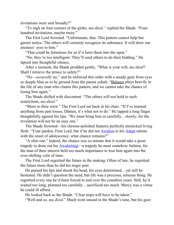invitations were sent broadly?"

"To nigh on four corners of the globe, *ma dieul*, " replied the Shade. "Fourhundred invitations, maybe more."

The First Lord frowned. "Unfortunate, that. This pattern cannot help but garner notice. The others will certainly recognize its substance. It will draw our enemies' eyes to him."

"That could be fortuitous for us if it lures them into the open."

"No, they're too intelligent. They'll send others to do their bidding." He lapsed into thoughtful silence.

After a moment, the Shade prodded gently, "What is your will, *ma dieul*? Shall I retrieve the prince to safety?"

"No—*assuredly* no," and he enforced this order with a steady gaze from eyes so deeply blue as to be ground from the purest cobalt. "Balance plays heavily in the life of any man who claims this pattern, and we cannot take the chance of losing him again."

The Shade shifted with discontent. "The others will not hold to such restrictions, *ma dieul*."

"More to their error." The First Lord sat back in his chair. "If I've learned anything from past losses, Dämen, it's what not to do." He tapped a long finger thoughtfully against his lips. "We must bring him in carefully...slowly, for the revelation will not be an easy one."

The Shade frowned—his chrome-polished features perfectly mimicked living flesh. "Your pardon, First Lord, but if he did not **Awaken** to his **Adept** talents with the onset of adolescence, what chance remains?"

"A slim one." Indeed, the chance was so minute that it would take a great tragedy to draw out his **Awakening—a** tragedy he must somehow fashion, for the man of their interest held too much importance to lose him again into the ever-shifting veils of time.

The First Lord regretted the future in the making. Often of late, he regretted the future more than he did his tragic past.

He pursed his lips and shook his head, his eyes determined…yet still he hesitated. He didn't question the need, but life was a precious, tenuous thing. He regretted every one he'd been forced to end over the countless years. Still, he'd waited too long, planned too carefully…sacrificed too much. Mercy was a virtue he could ill afford.

He looked back to the Shade. "I fear steps will have to be taken."

"Well and so, *ma dieul*." Much went unsaid in the Shade's tone, but his gaze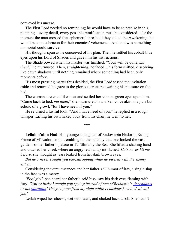conveyed his unease.

The First Lord needed no reminding; he would have to be so precise in this planning—every detail, every possible ramification must be considered—for the moment the man crossed that ephemeral threshold they called the Awakening, he would become a beacon for their enemies' vehemence. And that was something no mortal could survive.

His thoughts spun as he conceived of his plan. Then he settled his cobalt-blue eyes upon his Lord of Shades and gave him his instructions.

The Shade bowed when his master was finished. "Your will be done, ma *dieul*," he murmured. Then, straightening, he faded…his form shifted, dissolving like dawn shadows until nothing remained where something had been only moments before.

His most pressing matter thus decided, the First Lord tossed the invitation aside and returned his gaze to the glorious creature awaiting his pleasure on the bed.

The woman stretched like a cat and settled her vibrant green eyes upon him. "Come back to bed, *ma dieul*," she murmured in a silken voice akin to a purr but echoic of a growl, "for I have need of you."

He returned a lustful look. "And I have need of you," he replied in a rough whisper. Lifting his own naked body from his chair, he went to her.

\*\*\*

**Leilah n'abin Hadorin**, youngest daughter of Radov abin Hadorin, Ruling Prince of M'Nador, stood trembling on the balcony that overlooked the vast gardens of her father's palace in Tal'Shira by the Sea. She lifted a shaking hand and touched her cheek where an angry red handprint flamed. *He's never hit me before*, she thought as tears leaked from her dark brown eyes.

*But he's never caught you eavesdropping while he plotted with the enemy, either.*

Considering the circumstances and her father's ill humor of late, a single slap in the face was a mercy.

*'Fool girl!'* she heard her father's acid hiss, saw his dark eyes flaming with fury. *'You're lucky I caught you spying instead of one of Bethamin's Ascendants or* his *Marquiin!* Get you gone from my sight while I consider how to deal with *you!'*

Leilah wiped her cheeks, wet with tears, and choked back a sob. She hadn't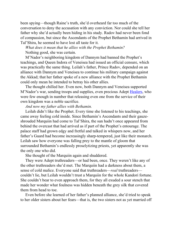been spying—though Raine's truth, she'd overheard far too much of the conversation to deny the accusation with any conviction. Nor could she tell her father why she'd actually been hiding in his study. Radov had never been fond of compassion, but since the Ascendants of the Prophet Bethamin had arrived in Tal'Shira, he seemed to have lost all taste for it.

*What does it mean that he allies with the Prophet Bethamin?* Nothing good, she was certain.

M'Nador's neighboring kingdom of Dannym had banned the Prophet's teachings, and Queen Indora of Veneisea had issued an official censure, which was practically the same thing. Leilah's father, Prince Radov, depended on an alliance with Dannym and Veneisea to continue his military campaign against the Akkad; that her father spoke of a new alliance with the Prophet Bethamin could only mean he intended to betray his other allies.

The thought chilled her. Even now, both Dannym and Veneisea supported M'Nador's war, sending troops and supplies, even precious Adept Healers, who were few enough in number that releasing even one from the service of their own kingdom was a noble sacrifice.

*And now my father allies with Bethamin.* 

Leilah didn't like the Prophet. Every time she listened to his teachings, she came away feeling cold inside. Since Bethamin's Ascendants and their gauzeshrouded Marquiin had come to Tal'Shira, the sun hadn't once appeared from behind the overcast that had arrived as if part of the Prophet's entourage. The palace staff had grown edgy and fretful and talked in whispers now, and her father's Guard had become increasingly sharp-tempered, just like their monarch. Leilah saw how everyone was falling prey to the mantle of gloom that surrounded Bethamin's endlessly proselytizing priests, yet apparently she was the only one who did.

She thought of the Marquiin again and shuddered.

They were Adept truthreaders—or had been, once. They weren't like any of the other truthreaders she'd met. The Marquiin had a darkness about them, a sense of cold malice. Everyone said that truthreaders—*real* truthreaders couldn't lie, but Leilah wouldn't trust a Marquiin for the whole Kandori fortune. She couldn't bear to even approach them, for they all exuded a sour stench that made her wonder what foulness was hidden beneath the grey silk that covered them from head to toe.

Even before she learned of her father's planned alliance, she'd tried to speak to her older sisters about her fears—that is, the two sisters not as yet married off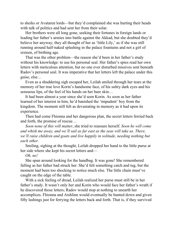to sheiks or Avataren lords—but they'd complained she was hurting their heads with talk of politics and had sent her from their solar.

Her brothers were all long gone, seeking their fortunes in foreign lands or leading her father's armies into battle against the Akkad, but she doubted they'd believe her anyway; they all thought of her as 'little Lily,' as if she was still running around half-naked splashing in the palace fountains and not a girl of sixteen, of birthing age.

That was the other problem—the reason she'd been in her father's study without his knowledge: to use his personal seal. Her father's spies read her own letters with meticulous attention, but no one ever disturbed missives sent beneath Radov's personal seal. It was imperative that her letters left the palace under this guise, else...

Even as a shuddering sigh escaped her, Leilah smiled through her tears at the memory of her true love Korin's handsome face, of his sultry dark eyes and his sensuous lips, of the feel of his hands on her bare skin...

It had been almost a year since she'd seen Korin. As soon as her father learned of her interest in him, he'd banished the 'impudent' boy from the kingdom. The moment still felt as devastating in memory as it had upon its experience.

Then had come Fhionna and her dangerous plan, the secret letters ferried back and forth, the promise of rescue...

*Soon none of this will matter*, she tried to reassure herself. *Soon he will come and whisk me away, and we'll sail as far east as the seas will take us. There,* we'll raise children and goats and live happily in solitude, needing nothing but *each other.*

Smiling, sighing at the thought, Leilah dropped her hand to the little purse at her side where she kept his secret letters and—

*Oh, no!* 

She spun around looking for the handbag. It was gone! She remembered falling as her father had struck her. She'd felt something catch and tug, but the moment had been too shocking to notice much else. The little chain must've caught on the edge of the table.

With a sick feeling of dread, Leilah realized her purse must still be in her father's study. It wasn't only her and Korin who would face her father's wrath if he discovered those letters; Radov would stop at nothing to unearth her accomplices. Fhionna and Aishlinn would eventually be hunted down and given fifty lashings just for ferrying the letters back and forth. That is, if they survived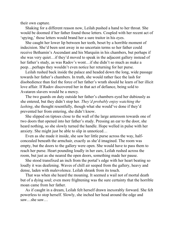their own capture.

Shaking for a different reason now, Leilah pushed a hand to her throat. She would be doomed if her father found those letters. Coupled with her recent act of 'spying,' those letters would brand her a sure traitor in his eves.

She caught her lower lip between her teeth, beset by a horrible moment of indecision. She'd been sent away in no uncertain terms so her father could receive Bethamin's Ascendant and his Marquiin in his chambers, but perhaps if she was very quiet...if they'd moved to speak in the adjacent gallery instead of her father's study, as was Radov's wont...if she didn't so much as make a peep... perhaps they wouldn't even notice her returning for her purse.

Leilah rushed back inside the palace and headed down the long, wide passage towards her father's chambers. In truth, she would rather face the lash for disobedience than feel the force of her father's wrath should he learn of her illicit love affair. If Radov discovered her in that act of defiance, being sold to Avataren slavers would be a mercy.

The two guards on duty outside her father's chambers eyed her dubiously as she entered, but they didn't stop her. *They'd probably enjoy watching the lashing*, she thought resentfully, though what she would've done if they'd prevented her from entering, she didn't know.

She slipped on tiptoes close to the wall of the large anteroom towards one of two doors that opened into her father's study. Pressing an ear to the door, she heard nothing, so she slowly turned the handle. Hope welled in pulse with her anxiety. She might just be able to slip in unnoticed...

Even as she made it inside, she saw her little purse across the way, halfconcealed beneath the armchair, exactly as she'd imagined. The room was empty, but the doors to the gallery were open. She would have to pass them to reach her purse. Heart pounding loudly in her ears, Leilah rushed across the room, but just as she neared the open doors, something made her pause.

She stood transfixed an inch from the portal's edge with her heart beating so loudly it was deafening. Waves of chill air seeped from the gallery, heavy and dense, laden with malevolence. Leilah shrank from its touch.

That was when she heard the moaning. It seemed a wail not of mortal death but of a dying soul; even more frightening was the sure certainty that the horrible moan came from her father.

As if caught in a dream, Leilah felt herself drawn inexorably forward. She felt powerless to stop herself. Slowly, she inched her head around the edge and saw…she saw…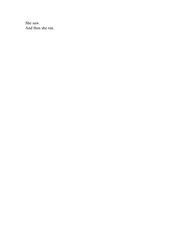She saw. And then she ran.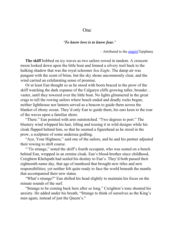#### **One**

#### *'To know love is to know fear.'*

– Attributed to the *angiel* Epiphany

**The skiff** bobbed on icy waves as two sailors rowed in tandem. A crescent moon looked down upon the little boat and limned a silvery trail back to the hulking shadow that was the royal schooner *Sea Eagle*. The damp air was pungent with the scent of brine, but the sky shone uncommonly clear, and the wind carried an exhilarating sense of promise.

Or at least Ean thought so as he stood with boots braced in the prow of the skiff watching the dark expanse of the Calgaryn cliffs growing taller, broader... vaster, until they towered over the little boat. No lights glimmered in the great crags to tell the rowing sailors where beach ended and deadly rocks began; neither lighthouse nor lantern served as a beacon to guide them across the blanket of ebony ocean. They'd only Ean to guide them, his ears keen to the roar of the waves upon a familiar shore.

"There." Ean pointed with arm outstretched. "Two degrees to port." The blustery wind whipped his hair, lifting and tossing it in wild designs while his cloak flapped behind him, so that he seemed a figurehead as he stood in the prow, a sculpture of some undersea godling.

"Aye, Your Highness," said one of the sailors, and he and his partner adjusted their rowing to shift course.

"Tis strange," noted the skiff's fourth occupant, who was seated on a bench behind Ean, wrapped in an ermine cloak. Ean's blood-brother since childhood, Creighton Khelspath had sealed his destiny to Ean's. They'd both passed their eighteenth name day, that age of manhood that brought new titles and new responsibilities; yet neither felt quite ready to face the world beneath the mantle that accompanied their new status.

"What's strange?" Ean shifted his head slightly to maintain his focus on the minute sounds of the surf.

"Strange to be coming back here after so long." Creighton's tone shouted his anxiety. He added under his breath, "Strange to think of ourselves as the King's men again, instead of just the Queen's."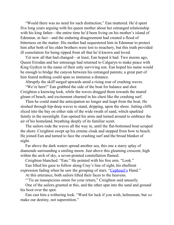"Would there was no need for such distinction," Ean muttered. He'd spent five long years arguing with his queen mother about her estranged relationship with his king father—the entire time he'd been living on his mother's island of Edenmar, in fact—and the enduring disagreement had created a flood of bitterness on the matter. His mother had sequestered him in Edenmar to protect him after both of his older brothers were lost to treachery, but this truth provided ill consolation for being ripped from all that he'd known and loved.

Yet now all that had changed—at least, Ean hoped it had. Two moons ago, Queen Errodan and her entourage had returned to Calgaryn to make peace with King Gydryn in the name of their only surviving son. Ean hoped his name would be enough to bridge the canyon between his estranged parents; a great part of him feared nothing could span so immense a distance.

Abruptly the skiff surged upwards amid a rising roar of crashing waves.

"We're here!" Ean grabbed the side of the boat for balance and shot Creighton a knowing look, while the waves dragged them towards the muted gleam of beach, and excitement churned in his chest like the crashing surf.

Then he could stand the anticipation no longer and leapt from the boat. He sloshed through hip-deep waves to stand, dripping, upon the shore. Jutting cliffs sliced into the bay on either side of the wide swath of sand, which sparkled faintly in the moonlight. Ean opened his arms and turned around to embrace the air of his homeland, breathing deeply of its familiar scent.

The sailors rode the waves all the way in, until the flat-bottomed boat scraped the shore. Creighton swept up his ermine cloak and stepped from bow to beach. He joined Ean and turned to face the crashing surf and the broad blanket of night.

Far above the dark waters spread another sea, this one a starry splay of diamonds surrounding a smiling moon. Just above this gleaming crescent, high within the arch of sky, a seven-pointed constellation flamed.

Creighton blanched. "Ean." He pointed with his free arm. "Look."

Ean lifted his gaze to follow along Cray's line of sight, his ebullient expression fading when he saw the grouping of stars. "Cephrael's Hand."

At this utterance, both sailors lifted their faces to the heavens.

"Tis an inauspicious omen for your return," Creighton said uneasily.

One of the sailors grunted at this, and the other spat into the sand and ground his boot over the spot.

Ean cast him a withering look. "Ward for luck if you wish, helmsman, but *we* make our destiny, not superstition."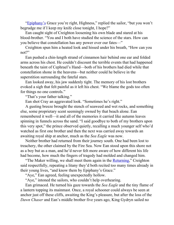"Epiphany's Grace you're right, Highness," replied the sailor, "but you won't begrudge me if I keep my knife close tonight, I hope?"

Ean caught sight of Creighton loosening his own blade and stared at his blood-brother. "You and I both have studied the science of the stars. How can you believe that constellation has any power over our fates—"

Creighton spun him a heated look and hissed under his breath, "How can you not?"

Ean pushed a chin-length strand of cinnamon hair behind one ear and folded arms across his chest. He couldn't discount the terrible events that had happened beneath the taint of Cephrael's Hand—both of his brothers had died while that constellation shone in the heavens—but neither could he believe in the superstition surrounding the fateful stars.

Ean looked away, his jaw suddenly tight. The memory of his lost brothers evoked a sigh that felt painful as it left his chest. "We blame the gods too often for things no one controls."

"That's your father talking."

Ean shot Cray an aggravated look. "Sometimes he's right."

A gusting breeze brought the stench of seaweed and wet rocks, and something else, some proprietary scent seemingly owned by that beach alone. Ean remembered it well—it and all of the memories it carried like autumn leaves spinning in funnels across the sand. "I said goodbye to both of my brothers upon this very spot," the prince observed quietly, recalling a much younger self who'd watched as first one brother and then the next was carried away towards an awaiting royal ship at anchor, much as the *Sea Eagle* was now.

Neither brother had returned from their journey south. One had been lost to treachery, the other claimed by the Fire Sea. Now Ean stood upon this shore not as a boy but as a man, and he'd never felt more aware of how different his life had become, how much the fingers of tragedy had molded and changed him.

"The Maker willing, we shall meet them again in the Returning," Creighton said respectfully, repeating a litany they'd both recited too many times already in their young lives, "and know them by Epiphany's Grace."

"Aye," Ean agreed, feeling unexpectedly hollow.

"Aye," intoned the sailors, who couldn't help overhearing.

Ean grimaced. He turned his gaze towards the *Sea Eagle* and the tiny flame of a lantern topping its mainmast. Once, a royal schooner could always be seen at anchor just off these cliffs, awaiting the King's pleasure, but after the loss of the *Dawn Chaser* and Ean's middle brother five years ago, King Gydryn sailed no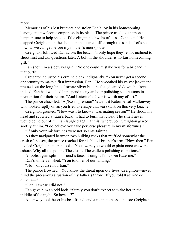more.

Memories of his lost brothers had stolen Ean's joy in his homecoming, leaving an unwelcome emptiness in its place. The prince tried to summon a happier tone to help shake off the clinging cobwebs of loss. "Come on." He clapped Creighton on the shoulder and started off through the sand. "Let's see how far we can get before my mother's men spot us."

Creighton followed Ean across the beach. "I only hope they're not inclined to shoot first and ask questions later. A bolt in the shoulder is no fair homecoming gift."

Ean shot him a sideways grin. "No one could mistake you for a brigand in that outfit."

Creighton adjusted his ermine cloak indignantly. "You never get a second opportunity to make a first impression, Ean." He smoothed his velvet jacket and pressed out the long line of ornate silver buttons that gleamed down the front indeed, Ean had watched him spend many an hour polishing said buttons in preparation for their return. "And Katerine's favor is worth any effort."

The prince chuckled. "A *first* impression? Wasn't it Katerine val Mallonwey who looked raptly on as you tried to escape that sea skunk on this very beach?"

Creighton grunted. "How was I to know it was mating season?" He shook his head and scowled at Ean's back. "I had to burn that cloak. The smell never would come out of it." Ean laughed again at this, whereupon Creighton glared sootily at him. "I do believe you take perverse pleasure in my misfortunes."

"If only your misfortunes were not so entertaining."

As they navigated between two hulking rocks that muffled somewhat the crash of the sea, the prince reached for his blood-brother's arm. "Now then." Ean leveled Creighton an arch look. "You swore you would explain once we were ashore. Why all the pomp? The cloak? The endless polishing of buttons?"

A foolish grin split his friend's face. "Tonight I'm to see Katerine."

Ean's smile vanished. "You told her of our landing?"

"No—of course not, Ean."

The prince frowned. "You know the threat upon our lives, Creighton—never mind the precarious situation of my father's throne. If you told Katerine or *anyone*—"

"Ean, I swear I did not."

Ean gave him an odd look. "Surely you don't expect to wake her in the middle of the night. So how...?"

A faraway look beset his best friend, and a moment passed before Creighton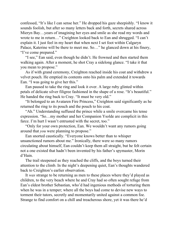confessed, "It's like I can sense her." He dropped his gaze sheepishly. "I know it sounds foolish, but after so many letters back and forth, secrets shared across Mieryn Bay... years of imagining her eyes and smile as she read my words and wrote to me in return..." Creighton looked back to Ean and shrugged. "I can't explain it. I just feel in my heart that when next I set foot within Calgaryn Palace, Katerine will be there to meet me. So..." he glanced down at his finery, "I've come prepared."

"I see," Ean said, even though he didn't. He frowned and then started them walking again. After a moment, he shot Cray a sidelong glance. "I take it that you mean to propose."

As if with grand ceremony, Creighton reached inside his coat and withdrew a velvet pouch. He emptied its contents onto his palm and extended it towards Ean. "I was going to give her this."

Ean paused to take the ring and look it over. A large ruby glinted within petals of delicate silver filigree fashioned in the shape of a rose. "It's beautiful." He handed the ring back to Cray. "It must be very old."

"It belonged to an Avataren Fire Princess," Creighton said significantly as he returned the ring to its pouch and the pouch to his coat.

"Ah." Understanding suffused the prince while a smile overcame his tense expression. "So...my mother and her Companion Ysolde are complicit in this farce. I'm hurt I wasn't entrusted with the secret, too."

"Only for your own protection, Ean. We wouldn't want any rumors going around that *you* were planning to propose."

Ean snorted caustically. "Everyone knows better than to whisper unsanctioned rumors about me." Ironically, there were so many rumors circulating about himself, Ean couldn't keep them all straight, but he felt certain not a one existed that hadn't been invented by his father's spymaster, Morin d'Hain.

The trail steepened as they reached the cliffs, and the boys turned their attention to the climb. In the night's deepening quiet, Ean's thoughts wandered back to Creighton's earlier observation.

It was strange to be returning as men to these places where they'd played as children, to the very beach where he and Cray had so often sought refuge from Ean's eldest brother Sebastian, who'd had ingenious methods of torturing them when he was in a temper; where all the boys had come to devise new ways to torment their tutors, secretly and momentarily united against a common foe. Strange to find comfort on a chill and treacherous shore, yet it was there he'd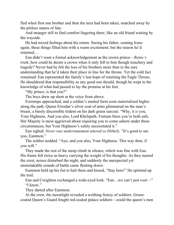fled when first one brother and then the next had been taken, snatched away by the pitiless snares of fate.

And stranger still to find comfort lingering there, like an old friend waiting by the wayside.

He had mixed feelings about his return. Seeing his father, coming *home* again, these things filled him with a warm excitement; but the reason he'd returned…

Ean didn't want a formal acknowledgement as the crown prince—*Raine's truth*, how could he desire a crown when it only fell to him though treachery and tragedy? Never had he felt the loss of his brothers more than in the sure understanding that he'd taken their place in line for the throne. Yet the cold fact remained: Ean represented the family's last hope of retaining the Eagle Throne. He shouldered that responsibility as any good son should, though he wept in the knowledge of what had passed to lay the promise at his feet.

"My prince, is that you?"

The boys drew up short at the voice from above.

Footsteps approached, and a soldier's mailed form soon materialized higher along the path. Queen Errodan's silver coat of arms glimmered on the man's breast, a barely discernible trident on his dark green surcoat. "Why, it *is* you, Your Highness. And you also, Lord Khelspath. Fortune bless you're both safe. Her Majesty is most aggrieved about requiring you to come ashore under these circumstances, but Your Highness's safety necessitated it."

Ean sighed. *Never* was understatement uttered so blithely. "It's good to see you, Eammon."

The soldier nodded. "Aye, and you also, Your Highness. This way then, if you will."

They made the rest of the steep climb in silence, which was fine with Ean. His frame felt twice as heavy carrying the weight of his thoughts. As they neared the crest, noises disturbed the night, and suddenly the unexpected yet unmistakable sounds of battle came floating down.

Eammon held up his fist to halt them and hissed, "Stay here!" He sprinted up the trail.

Ean and Creighton exchanged a wide-eyed look. "Ean...we can't just *wait*—" "I know."

They darted after Eammon.

At the crest, the moonlight revealed a writhing frenzy of soldiers. Greencoated Queen's Guard fought red-coated palace soldiers—could the queen's men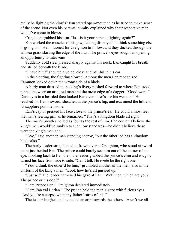really be fighting the king's? Ean stared open-mouthed as he tried to make sense of the scene. Not even his parents' enmity explained why their respective men would've come to blows.

Creighton grabbed his arm. "Is…is it your parents fighting again?"

Ean worked the muscles of his jaw, feeling dismayed. "I think something else is going on." He motioned for Creighton to follow, and they ducked through the tall sea grass skirting the edge of the fray. The prince's eyes sought an opening, an opportunity to intervene—

Suddenly cold steel pressed sharply against his neck. Ean caught his breath and stilled beneath the blade.

"I have him!" shouted a voice, close and painful in his ear.

In the clearing, the fighting slowed. Among the men Ean recognized, Eammon looked down the wrong side of a blade.

A burly man dressed in the king's livery pushed forward to where Ean stood pinned between an armored man and the razor edge of a dagger. "Good work." Dark eyes in a bearded face looked Ean over. "Let's see his weapon." He reached for Ean's sword, sheathed at the prince's hip, and examined the hilt and its sapphire pommel stone.

Ean's captor pressed his face close to the prince's ear. He could almost feel the man's leering grin as he remarked, "That's a kingdom blade all right."

The man's breath smelled as foul as the rest of him. Ean couldn't believe the king's men would've sunken to such low standards—he didn't believe these were the king's men at all.

"Aye," said another man standing nearby, "but the other lad has a kingdom blade also."

The burly leader straightened to frown over at Creighton, who stood at swordpoint just behind Ean. The prince could barely see him out of the corner of his eye. Looking back to Ean then, the leader grabbed the prince's chin and roughly turned his face from side to side. "Can't tell. He *could* be the right one."

"You'd think the other'd be him," grumbled another of the men, also in the uniform of the king's men. "Look how he's all gussied up."

"Just so." The leader narrowed his gaze at Ean. "Well then, which are you? The prince or his dog?"

"I am Prince Ean!" Creighton declared immediately.

"*I* am Ean val Lorian." The prince held the man's gaze with furious eyes. "And you're a corpse when my father learns of this."

The leader laughed and extended an arm towards the others. "Aren't we all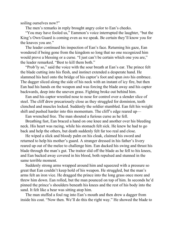soiling ourselves now?"

The men's remarks in reply brought angry color to Ean's cheeks.

"You may have fooled us," Eammon's voice interrupted the laughter, "but the King's Own Guard is coming even as we speak. Be certain they'll know you for the knaves you are."

The leader continued his inspection of Ean's face. Returning his gaze, Ean wondered if being gone from the kingdom so long that no one recognized him would prove a blessing or a curse. "I just can't be certain which one you are," the leader remarked. "Best to kill them both."

"Prob'ly so," said the voice with the sour breath at Ean's ear. The prince felt the blade cutting into his flesh, and instinct extended a desperate hand. He slammed his heel onto the bridge of his captor's foot and spun *into* his embrace. The dagger sliced along the side of his neck with an instant of icy fire, but then Ean had his hands on the weapon and was forcing the blade away and his captor backwards, deep into the uneven grass. Fighting broke out behind him.

Ean and his captor wrestled nose to nose for control over a slender slice of steel. The cliff drew precariously close as they struggled for dominion, teeth clenched and muscles locked. Suddenly the soldier stumbled. Ean felt his weight shift and pushed harder into this momentum. The cliff's edge reared up—

Ean wrenched free. The man shouted a furious curse as he fell.

Breathing fast, Ean braced a hand on one knee and another over his bleeding neck. His heart was racing, while his stomach felt sick. He knew he had to go back and help the others, but death suddenly felt far too real and close.

He wiped a slick and bloody palm on his cloak, claimed his sword and returned to help his mother's guard. A stranger dressed in his father's livery reared up out of the melee to challenge him. Ean ducked his swing and thrust his blade through the man's gut. The traitor slid off the blade as he fell to his knees, and Ean backed away covered in his blood, both repulsed and stunned in the same terrible moment.

Suddenly strong arms wrapped around him and squeezed with a pressure so great that Ean couldn't keep hold of his weapon. He struggled, but the man's arms felt an iron vice. He dragged the prince into the long grass once more and threw him down. Ean rolled, but the man pounced on top of him. In seconds he'd pinned the prince's shoulders beneath his knees and the rest of his body into the sand. It felt like a bear was sitting atop him.

The man stuffed a foul rag into Ean's mouth and then drew a dagger from inside his coat. "Now then. We'll do this the right way." He showed the blade to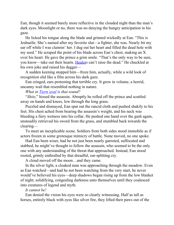Ean, though it seemed barely more reflective in the clouded night than the man's dark eyes. Moonlight or no, there was no denying the hungry anticipation in his gaze.

He licked his tongue along the blade and grinned wickedly at Ean. "This is Jeshuelle. She's named after my favorite slut—a fighter, she was. Nearly bit my ear off while I was claimin' her. I dug out her heart and filled the dead hole with my seed." He scraped the point of his blade across Ean's chest, making an X over his heart. He gave the prince a grim smile. "That's the only way to be sure, you know—take out their hearts. Healers can't raise the dead." He chuckled at his own joke and raised his dagger—

A sudden keening stopped him—froze him, actually, while a wild look of recognition slid like a film across his dark gaze.

Ean cringed, ears protesting that terrible cry. It grew in volume, a horrid, uncanny wail that resembled nothing in nature.

#### *What in Tiern'aval is that sound?*

"*Shite*," hissed the assassin. Abruptly he rolled off the prince and scuttled away on hands and knees, low through the long grass.

Puzzled and dismayed, Ean spat out the rancid cloth and pushed shakily to his feet. His chest ached from bearing the assassin's weight, and his neck was bleeding a fiery wetness into his collar. He pushed one hand over the gash again, unsteadily retrieved his sword from the grass, and stumbled back towards the clearing—

To meet an inexplicable scene. Soldiers from both sides stood immobile as if actors frozen in some grotesque mimicry of battle. None moved, no one spoke.

Had Ean been wiser, had he not just been nearly garroted, suffocated and stabbed, he might've thought to follow the assassin, who seemed to be the only one with any understanding of the threat that approached. Instead, Ean stood rooted, grimly enthralled by that dreadful, ear-splitting cry.

A cloud moved off the moon...and they came.

In the silver light, a cloaked man was approaching through the meadow. Even as Ean watched—and had he not been watching from the very start, he never would've believed his eyes—deep shadows began rising up from the low blanket of night; solidifying, congealing darkness unto themselves until they coalesced into creatures of legend and myth.

#### It cannot be!

Ean denied the vision his eyes were so clearly witnessing. Half as tall as horses, entirely black with eyes like silver fire, they lifted their paws out of the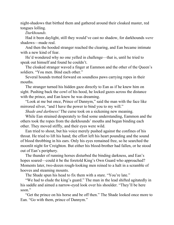night-shadows that birthed them and gathered around their cloaked master, red tongues lolling.

*Darkhounds.*

Had it been daylight, still they would've cast no shadow, for darkhounds *were* shadows—made real

And then the hooded stranger reached the clearing, and Ean became intimate with a new kind of fear.

He'd wondered why no one yelled in challenge—that is, until he tried to speak out himself and found he couldn't.

The cloaked stranger waved a finger at Eammon and the other of the Queen's soldiers. "You men. Bind each other."

Several hounds trotted forward on soundless paws carrying ropes in their mouths.

The stranger turned his hidden gaze directly to Ean as if he knew him on sight. Pushing back the cowl of his hood, he locked gazes across the distance with the prince, and Ean knew he was dreaming.

"Look at me but once, Prince of Dannym," said the man with the face like mirrored silver, "and I have the power to bind you to my will."

*Shade and darkness!* The curse took on a sickening new meaning.

While Ean strained desperately to find some understanding, Eammon and the others took the ropes from the darkhounds' mouths and began binding each other. They moved stiffly, and their eyes were wild.

Ean tried to shout, but his voice merely pushed against the confines of his throat. He tried to lift his hand; the effort left his heart pounding and the sound of blood throbbing in his ears. Only his eyes remained free, so he searched the moonlit night for Creighton. But either his blood-brother had fallen, or he stood out of Ean's periphery.

The thunder of running horses disturbed the binding darkness, and Ean's hopes soared—could it be the foretold King's Own Guard who approached? Moments later, two-dozen rough-looking men reined to a halt in a scramble of hooves and steaming mounts.

The Shade spun his head to fix them with a stare. "You're late."

"We had to elude the king's guard." The man in the lead shifted agitatedly in his saddle and aimed a narrow-eyed look over his shoulder. "They'll be here soon."

"Get the prince on his horse and be off then." The Shade looked once more to Ean. "Go with them, prince of Dannym."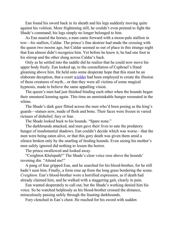Ean found his sword back in its sheath and his legs suddenly moving quite against his volition. More frightening still, he couldn't even pretend to fight the Shade's command; his legs simply no longer belonged to him.

As Ean neared the horses, a man came forward with a moon-pale stallion in tow—*his* stallion, Caldar. The prince's fine destrier had made the crossing with the queen two moons ago, but Caldar seemed so out of place in this strange night that Ean almost didn't recognize him. Yet before he knew it, he had one foot in his stirrup and the other slung across Caldar's back.

Only as he settled into the saddle did he realize that he could now move his upper body freely. Ean looked up, to the constellation of Cephrael's Hand gleaming above him. He held onto some desperate hope that this must be an elaborate deception, that a court wielder had been employed to create the illusion of these creatures of myth...or that they were all victims of some magical hypnosis, made to believe the same appalling vision.

The queen's men had just finished binding each other when the hounds began their unnatural keening again. This time an unmistakable hunger resonated in the whine.

The Shade's dark gaze flitted across the men who'd been posing as the king's guards—statues now, made of flesh and bone. Their faces were frozen in varied rictuses of disbelief, fury or fear.

The Shade looked back to his hounds. "Spare none."

The darkhounds attacked, and men gave their lives to sate the predatory hunger of insubstantial shadows. Ean couldn't decide which was worse—that the men were being eaten alive, or that this gory death was given them amid a silence broken only by the snarling of feeding hounds. Even seeing his mother's men safely ignored did nothing to lessen the horror.

The prince swallowed and looked away.

"Creighton Khelspath!" The Shade's clear voice rose above the hounds' ravening din. "Attend me!"

A pang of fear gripped Ean, and he searched for his blood-brother, for he still hadn't seen him. Finally, a form rose up from the long grass bordering the scene. *Creighton.* Ean's blood-brother wore a horrified expression, as if death had already claimed him, and he walked with a staggering gait, clearly in pain.

Ean wanted desperately to call out, but the Shade's working denied him his voice. So he watched helplessly as his blood-brother crossed the distance, miraculously passing safely through the feasting darkhounds.

Fury clenched in Ean's chest. He reached for his sword with sudden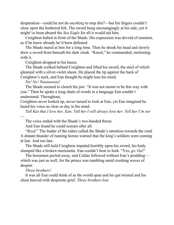desperation—could he not do *anything* to stop this?—but his fingers couldn't close upon the leathered hilt. The sword hung encouragingly at his side, yet it might've been aboard the *Sea Eagle* for all it would aid him.

Creighton halted in front of the Shade. His expression was devoid of emotion, as if he knew already he'd been defeated.

The Shade stared at him for a long time. Then he shook his head and slowly drew a sword from beneath his dark cloak. "Kneel," he commanded, motioning with it.

Creighton dropped to his knees.

The Shade walked behind Creighton and lifted his sword, the steel of which gleamed with a silver-violet sheen. He placed the tip against the back of Creighton's neck, and Ean thought he might lose his mind.

*No! No! Noooooooo!*

The Shade seemed to clench his jaw. "It was not meant to be this way with you." Then he spoke a long chain of words in a language Ean couldn't understand. Throughout,

Creighton never looked up, never turned to look at Ean, yet Ean imagined he heard his voice as clear as day in his mind.

Tell Kat that I love her, Ean. Tell her I will always love her. Tell her I'm sor

The voice ended with the Shade's two-handed thrust.

And Ean found he could scream after all.

"*Reyd.*" The leader of the riders called the Shade's attention towards the road. A distant thunder of running horses warned that the king's soldiers were coming at last. And too late.

The Shade still held Creighton impaled horribly upon his sword, his body slumped like a broken marionette. Ean couldn't bear to look. "Yes, *go*. Go!"

The horsemen peeled away, and Caldar followed without Ean's prodding which was just as well, for the prince was tumbling amid crushing waves of despair.

#### *Three brothers!*

*—*

It was all Ean could think of as the world spun and his gut twisted and his chest heaved with desperate grief. *Three brothers lost*.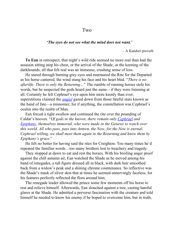#### Two

#### *'The eves do not see what the mind does not want.'*

– A Kandori proverb

**To Ean** in retrospect, that night's wild ride seemed no more real than had the assassin sitting atop his chest, or the arrival of the Shade, or the keening of the darkhounds; all that felt real was an immense, crushing sense of loss.

He stared through burning grey eyes and murmured the Rite for the Departed as his horse cantered, the wind stung his face and his heart bled. "*There is no afterlife. There is only the Returning...*" The rumble of running horses stole his words, but he suspected the gods heard just the same—if they were listening at all. Certainly he felt Cephrael's eye upon him more keenly than ever; superstitions claimed the *angiel* gazed down from those fateful stars known as the hand of fate—a misnomer, for if anything, the constellation was Cephrael's oculus into the realm of Man.

Ean forced a tight swallow and continued the rite over the pounding of Caldar's hooves. "*Of gods in the known, there remain only Cephrael and Epiphany, themselves immortal, who were made in the Genesis to watch over this* world. All who pass, pass into Annwn, the Now, for the Now is eternal. *Cephrael willing, we shall meet them again in the Returning and know them by Epiphany's grace.*"

He felt no better for having said the rites for Creighton. Too many times he'd repeated the familiar words…too many brothers lost to treachery and tragedy.

They stopped at dawn to eat and rest the horses. With his broiling anger proof against the chill autumn air, Ean watched the Shade as he moved among his band of renegades, a tall figure dressed all in black, with dark hair smoothed back from a widow's peak and a shining chrome countenance. So reflective was the Shade's mask of silver skin that at times he seemed unnervingly faceless, for his features perfectly reflected the flora around him.

The renegade leader allowed the prince some few moments off his horse to rest and relieve himself. Afterwards, Ean slouched against a tree, casting hateful glares at the Shade. He admitted a perverse fascination with the creature and told himself he needed to know his enemy if he hoped to overcome him, but in truth,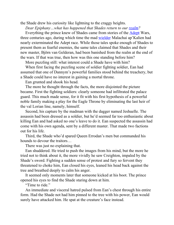the Shade drew his curiosity like lightning to the craggy heights.

*Dear Epiphany*…what has happened that Shades return to our realm?

Everything the prince knew of Shades came from stories of the Adept Wars, three centuries ago, during which time the mad wielder Malachai ap'Kalien had nearly exterminated the Adept race. While those tales spoke enough of Shades to present them as fearful enemies, the same tales claimed that Shades and their new master, Björn van Gelderan, had been banished from the realm at the end of the wars. If that was true, then how was this one standing before him?

More puzzling still: what interest could a Shade have with him?

When first facing the puzzling scene of soldier fighting soldier, Ean had assumed that one of Dannym's powerful families stood behind the treachery, but a Shade could have no interest in gaining a mortal throne.

Ean grunted and shook his head.

The more he thought through the facts, the more disjointed the picture became. First the fighting soldiers: clearly someone had infiltrated the palace guard. This much made sense, for it fit with his first hypothesis of a powerful noble family making a play for the Eagle Throne by eliminating the last heir of the val Lorian line, namely, himself.

Second, his capture by the madman with the dagger named Jeshuelle. The assassin had been dressed as a soldier, but he'd seemed far too enthusiastic about killing Ean and had asked no one's leave to do it. Ean suspected the assassin had come with his own agenda, sent by a different master. That made two factions out for his life.

Third, the Shade who'd spared Queen Errodan's men but commanded his hounds to devour the traitors...

There was just no explaining that.

Ean shuddered. He tried to push the images from his mind, but the more he tried not to think about it, the more vividly he saw Creighton, impaled by the Shade's sword. Fighting a sudden sense of protest and fury so fervent they threatened to choke him, Ean closed his eyes, leaned his head back against the tree and breathed deeply to calm his anger.

It seemed only moments later that someone kicked at his boot. The prince opened his eyes to find the Shade staring down at him.

"Time to ride."

An immediate and visceral hatred pulsed from Ean's chest through his entire form. Had the Shade not had him pinned to the tree with his power, Ean would surely have attacked him. He spat at the creature's face instead.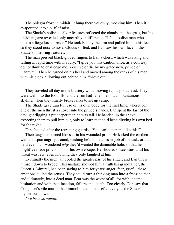The phlegm froze in midair. It hung there yellowly, mocking him. Then it evaporated into a puff of mist.

The Shade's polished silver features reflected the clouds and the grass, but his obsidian gaze revealed only unearthly indifference. "It's a foolish man who makes a liege lord of pride." He took Ean by the arm and pulled him to his feet, so they stood nose to nose. Clouds shifted, and Ean saw his own face in the Shade's mirroring features.

The man pressed black-gloved fingers to Ean's chest, which was rising and falling in rapid time with his fury. "I give you this caution once, as a courtesy: do not think to challenge me. You live or die by my grace now, prince of Dannym." Then he turned on his heel and moved among the ranks of his men with his cloak billowing out behind him. "Move out!"

They traveled all day in the blustery wind, moving rapidly southeast. They were well into the foothills, and the sun had fallen behind a mountainous skyline, when they finally broke ranks to set up camp.

The Shade gave Ean full use of his own body for the first time, whereupon one of the men thrust a shovel into the prince's hands. Ean spent the last of the daylight digging a pit deeper than he was tall. He handed up the shovel, expecting them to pull him out, only to learn that he'd been digging his own bed for the night.

Ean shouted after the retreating guards, "You can't keep me like this!"

Their laughter burned like salt in his wounded pride. He kicked the earthen wall and spun angrily around, wishing he'd done a lesser job of the task, or that he'd even half wondered *why* they'd wanted the damnable hole, so that he might've made provisions for his own escape. He shouted obscenities until his throat was raw, even knowing they only laughed at him.

Eventually the night air cooled the greater part of his anger, and Ean threw himself down to brood. This mistake showed him a truth his grandfather, the Queen's Admiral, had been saying to him for years: anger, fear, grief—these emotions dulled the senses. They could turn a thinking man into a frenzied man, and ultimately, into a dead man. Fear was the worst of all, for with it came hesitation and with that, inaction, failure and death. Too clearly, Ean saw that Creighton's vile murder had immobilized him as effectively as the Shade's mysterious power.

*I've been so stupid!*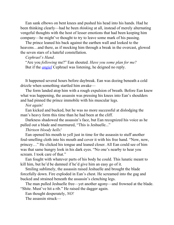Ean sank elbows on bent knees and pushed his head into his hands. Had he been thinking clearly—had he been *thinking* at all, instead of merely alternating vengeful thoughts with the host of lesser emotions that had been keeping him company—he might've thought to try to leave some mark of his passing.

The prince leaned his back against the earthen wall and looked to the heavens...and there, as if mocking him through a break in the overcast, glowed the seven stars of a hateful constellation.

#### *Cephrael's Hand*.

"Are you *following* me?" Ean shouted. *Have you some plan for me?* But if the *angiel* Cephrael was listening, he deigned no reply.

It happened several hours before daybreak. Ean was dozing beneath a cold drizzle when something startled him awake—

The form landed atop him with a rough expulsion of breath. Before Ean knew what was happening, the assassin was pressing his knees into Ean's shoulders and had pinned the prince immobile with his muscular legs.

#### *Not again!*

Ean kicked and bucked, but he was no more successful at dislodging the man's heavy form this time than he had been at the cliff.

Darkness shadowed the assassin's face, but Ean recognized his voice as he pulled out a blade and murmured, "This is Jeshuelle..."

#### *Thirteen bloody hells!*

Ean opened his mouth to yell just in time for the assassin to stuff another foul-smelling cloth into his mouth and cover it with his free hand. "Now, now, princey..." He clicked his tongue and leaned closer. All Ean could see of him was that same hungry look in his dark eyes. "No one's nearby to hear you scream. I took care of that."

Ean fought with whatever parts of his body he could. This lunatic meant to kill him, but he'd be damned if he'd give him an easy go of it.

Smiling sublimely, the assassin raised Jeshuelle and brought the blade forcefully down. Fire exploded in Ean's chest. He screamed into the gag and bucked and strained beneath the assassin's clenching legs.

The man pulled Jeshuelle free—yet another agony—and frowned at the blade. "Shite. Must've hit a rib." He raised the dagger again.

Ean thought desperately, *NO!* 

The assassin struck—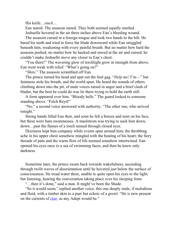His knife…*stuck*…

Ean stared. The assassin stared. They both seemed equally startled. Jeshuelle hovered in the air three inches above Ean's bleeding wound.

The assassin cursed in a foreign tongue and took two hands to the hilt. He bared his teeth and tried to force the blade downward while Ean struggled beneath him, weakening with every painful breath. But no matter how hard the assassin pushed, no matter how he hacked and sawed at the air and cursed, he couldn't make Jeshuelle move any closer to Ean's chest.

"You there!" The wavering glow of torchlight grew in strength from above. Ean went weak with relief. "What's going on?"

"*Shite.*" The assassin scrambled off Ean.

The prince turned his head and spat out the foul gag. "*Help me!* I'm—" but faintness stole his breath, and the world spun. He heard the sounds of others climbing down into the pit, of male voices raised in anger and a brief clash of blades, but the best he could do was lie there trying to hold the earth still.

A form appeared over him. "Bloody hells." The guard looked to someone standing above. "Fetch Reyd!"

"No," a second voice answered with authority. "The other one, who arrived tonight."

Strong hands lifted Ean then, and soon he felt a breeze and mist on his face, but these were bare awarenesses. A maelstrom was trying to suck him down, down...past the flames of a torch sensed through closed eyes.

Dizziness kept him company while events spun around him; the throbbing ache in his upper chest somehow mingled with the beating of his heart; the fiery threads of pain and the warm flow of life seemed somehow intertwined. Ean opened his eyes once to a sea of swimming faces, and then he knew only darkness.

Sometime later, the prince swam back towards wakefulness, ascending through twilit waves of disorientation until he hovered just below the surface of consciousness. He tread water there, unable to quite open his eyes to the light; but listening, hearing the conversation taking place over his sleeping form.

"...then it's done," said a man. It might've been the Shade.

"So it would seem," replied another voice, this one deeply male, if melodious and fluid, with a timber akin to a purr but echoic of a growl. "He is now present on the currents of *elae*, as any Adept would be."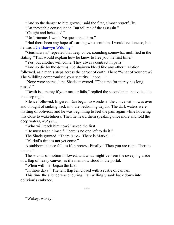"And so the danger to him grows," said the first, almost regretfully.

"An inevitable consequence. But tell me of the assassin."

"Caught and beheaded."

"Unfortunate. I would've questioned him."

"Had there been any hope of learning who sent him, I would've done so, but he was a Geishaiwyn Wildling."

"Geishaiwyn," repeated that deep voice, sounding somewhat mollified in the stating. "That would explain how he knew to flee you the first time."

"Yes, but another will come. They always contract in pairs."

"And so die by the dozens. Geishaiwyn bleed like any other." Motion followed, as a man's steps across the carpet of earth. Then: "What of your crew? The Wildling compromised your security. I hope—"

"None were spared," the Shade answered. "The time for mercy has long passed."

"Death is a mercy if your master fails," replied the second man in a voice like the deep night.

Silence followed, lingered. Ean began to wonder if the conversation was over and thought of sinking back into the beckoning depths. The dark waters were inviting of oblivion, and he was beginning to feel the pain again while hovering this close to wakefulness. Then he heard them speaking once more and told the deep waters, *Not yet...* 

"Who will teach him now?" asked the first.

"He must teach himself. There is no one left to do it."

The Shade grunted. "There is *you*. There is Markal—"

"Markal's time is not yet come."

A stubborn silence fell, as if in protest. Finally: "Then you are right. There is no one."

The sounds of motion followed, and what might've been the sweeping aside of a flap of heavy canvas, as if a man now stood in the portal.

"When will—?" began the first.

"In three days." The tent flap fell closed with a rustle of canvas.

This time the silence was enduring. Ean willingly sank back down into oblivion's embrace.

"Wakey, wakey."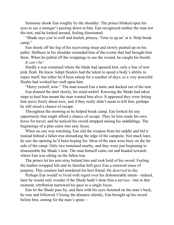Someone shook Ean roughly by the shoulder. The prince blinked open his eyes to see a stranger's peering down at him. Ean recognized neither the man nor the tent, and he looked around, feeling disoriented.

"Shade says you're well and healed, princey. Time to up an' at it. Help break camp."

Ean shook off the fog of his recovering sleep and slowly pushed up on his pallet. Stiffness in his shoulder reminded him of the events that had brought him there. When he pulled off the wrappings to see the wound, he caught his breath.

#### *It can't be!*

Hardly a scar remained where the blade had speared him, only a line of new pink flesh. He knew Adept Healers had the talent to speed a body's ability to repair itself, but either he'd been asleep for a number of days, or a very powerful Healer had worked her craft upon him.

"Hurry yerself, now." The man tossed Ean a tunic and ducked out of the tent.

Ean donned the shirt slowly, his mind awhirl. Knowing the Shade had taken steps to heal him meant the man wanted him alive. It appeared they were letting him move freely about now, and if they really didn't mean to kill him, perhaps he still stood a chance of escape.

Throughout the morning as he helped break camp, Ean looked for any opportunity that might afford a chance of escape. They let him ready his own horse for travel, and he noticed his sword strapped among his saddlebags. The beginnings of a plan came into easy focus.

When no one was watching, Ean slid the weapon from his saddle and hid it instead behind a fallen tree demarking the edge of the campsite. Not much later, he saw the opening he'd been hoping for. Most of the men were busy on the far side of the camp. Only two remained nearby, and they were just beginning to disassemble the Shade's tent. The man himself came out and headed towards where Ean was sitting on the fallen tree.

The prince let his arm stray behind him and took hold of his sword. Feeling the leather-wrapped hilt and its familiar heft gave Ean a renewed sense of purpose. This creature had murdered his best friend. He *deserved* to die.

Perhaps Ean would've lived with regret over his dishonorable intent—indeed, later he would only wonder if the Shade hadn't done him a service—but in that moment, retribution narrowed his gaze to a single focus.

Ean let the Shade pass by, and then with his eyes fastened on the man's back, he rose and followed. Closing the distance silently, Ean brought up his sword before him, aiming for the man's spine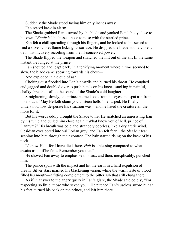Suddenly the Shade stood facing him only inches away.

Ean reared back in alarm.

The Shade grabbed Ean's sword by the blade and vanked Ean's body close to his own. "*Foolish*," he hissed, nose to nose with the startled prince.

Ean felt a chill spreading through his fingers, and he looked to his sword to find a silver-violet flame licking its surface. He dropped the blade with a violent oath, instinctively recoiling from the ill-conceived power.

The Shade flipped the weapon and snatched the hilt out of the air. In the same instant, he lunged at the prince.

Ean shouted and leapt back. In a terrifying moment wherein time seemed to slow, the blade came spearing towards his chest—

And exploded in a cloud of ash.

Choking dust flooded into Ean's nostrils and burned his throat. He coughed and gagged and doubled over to push hands on his knees, sucking in painful, chalky breaths—all to the sound of the Shade's cold laughter.

Straightening slowly, the prince palmed soot from his eyes and spat ash from his mouth. "May Belloth claim you thirteen hells," he rasped. He finally understood how desperate his situation was—and he hated the creature all the more for it.

But his words oddly brought the Shade to ire. He snatched an unresisting Ean by his tunic and pulled him close again. "What know you of hell, prince of Dannym?" His breath was cold and strangely odorless, like a dry arctic wind. Obsidian eyes bored into val Lorian grey, and Ean felt fear—the *Shade's* fear seeping into him through their contact. The hair started rising on the back of his neck.

"*I* know Hell, for I have died there. *Hell* is a blessing compared to what awaits us all if he fails. Remember you that."

He shoved Ean away to emphasize this last, and then, inexplicably, punched him.

The prince spun with the impact and hit the earth in a hard expulsion of breath. Silver stars marked his blackening vision, while the warm taste of blood filled his mouth—a fitting complement to the bitter ash that still clung there.

As if in answer to the angry query in Ean's glare, the Shade said coldly, "For respecting so little, those who saved you." He pitched Ean's useless sword hilt at his feet, turned his back on the prince, and left him there.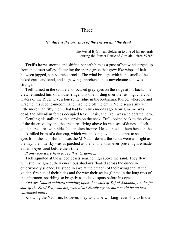#### Three

#### *'Failure is the province of the craven and the dead.'*

 $-$  The Vestal Björn van Gelderan to one of his generals during the Sunset Battle of Gimlalai, circa 597aV

**Trell's horse** snorted and shifted beneath him as a gust of hot wind surged up from the desert valley, flattening the sparse grass that grew like wisps of hair between jagged, sun-scorched rocks. The wind brought with it the smell of heat, baked earth and sand, and a gnawing apprehension as unwelcome as it was strange.

Trell turned in the saddle and focused grey eyes on the ridge at his back. The view reminded him of another ridge, this one lording over the rushing, charcoal waters of the River Cry; a lonesome ridge in the Kutsamak Range, where he and Graeme, his second-in-command, had held off the entire Veneisean army with little more than fifty men. That had been two moons ago. Now Graeme was dead, the Akkadian forces occupied Raku Oasis, and Trell was a celebrated hero.

Gentling his stallion with a stroke on the neck, Trell looked back to the view of the desert valley and the creatures flying above its vast sea of dunes—sleek, golden creatures with hides like molten bronze. He squinted at them beneath the duck-billed brim of a dun cap, which was making a valiant attempt to shade his eyes from the sun. But this was the M'Nador desert; the sands were as bright as the day, the blue sky was as parched as the land, and an ever-present glare made a man's eyes tired before their time.

*If* only you were here to see this, Graeme...

Trell squinted at the gilded beasts soaring high above the sand. They flew with sublime grace; their enormous shadows floated across the dunes in otherworldly silence. He stood in awe at the breadth of their wingspan, at the golden-fire hue of their hides and the way their scales glinted in the long rays of the afternoon, sparkling so brightly as to leave spots before his eyes.

*And are Nadori soldiers standing upon the walls of Taj al'Jahanna, on the far side of the Sand Sea, watching you also? Surely my enemies could be no less entranced than I.*

Knowing the Nadoriin, however, they would be working feverishly to find a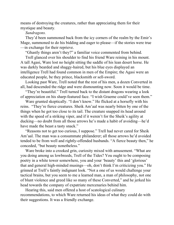means of destroying the creatures, rather than appreciating them for their mystique and beauty.

*Sundragons.*

They'd been summoned back from the icy corners of the realm by the Emir's Mage, summoned to do his bidding and eager to please—if the stories were true —in exchange for their reprieve.

"Ghastly things aren't they?" a familiar voice commented from behind.

Trell glanced over his shoulder to find his friend Ware reining in his mount. A tall Agasi, Ware lost no height sitting the saddle of his lean desert horse. He was darkly bearded and shaggy-haired, but his blue eyes displayed an intelligence Trell had found common in men of the Empire; the Agasi were an educated people, be they prince, blacksmith or sell-sword.

Looking past Ware, Trell noted that the rest of his men, a dozen Converted in all, had descended the ridge and were dismounting now. Soon it would be time.

"They're beautiful." Trell turned back to the distant dragons wearing a look of appreciation on his sharp-featured face. "I wish Graeme could've seen them."

Ware grunted skeptically. "I don't know." He flicked at a horsefly with his reins. "They're fierce creatures. Sheik Am'aal was nearly bitten by one of the things when he got too close to its tail. The creature snapped its head around with the speed of a striking viper, and if it weren't for the Sheik's agility at ducking—no doubt from all those arrows he's made a habit of avoiding—he'd have made the beast a tasty snack."

"Reasons not to get too curious, I suppose." Trell had never cared for Sheik Am'aal. The man was a consummate philanderer; all those arrows he'd avoided tended to be from well and rightly-offended husbands. "A fierce beauty then," he conceded, "but beauty nonetheless."

Ware broke into a crooked grin, curiosity mixed with amusement. "What are you doing among us lowbreeds, Trell of the Tides? You ought to be composing poetry in a white tower somewhere, you and your 'beauty' this and 'glorious' that and general high-minded musings—oh, don't think I'm criticizing you." He grinned at Trell's faintly indignant look. "Not a one of us would challenge your tactical brains, but you seem to me a learned man, a man of philosophy, not one of blunt violence and greed like so many of these Converted," and he jerked his head towards the company of expatriate mercenaries behind him.

Hearing this, said men offered a host of scatological culinary recommendations, to which Ware returned his ideas of what they could do with their suggestions. It was a friendly exchange.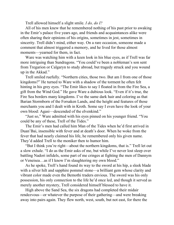Trell allowed himself a slight smile. *I do, do I?* 

All of his men knew that he remembered nothing of his past prior to awaking in the Emir's palace five years ago, and friends and acquaintances alike were often sharing their opinions of his origins, sometimes in jest, sometimes in sincerity. Trell didn't mind, either way. On a rare occasion, someone made a comment that almost triggered a memory, and he lived for those almost moments—yearned for them, in fact.

Ware was watching him with a keen look in his blue eyes, as if Trell was far more intriguing than Sundragons. "You could've been a nobleman's son sent from Tregarion or Calgaryn to study abroad, but tragedy struck and you wound up in the Akkad."

Trell smiled ruefully. "Northern cities, those two. But am I from one of those kingdoms?" He turned to Ware with a shadow of the torment he often felt hinting in his grey eyes. "The Emir likes to say I floated in from the Fire Sea, a gift from the Wind God." He gave Ware a dubious look. "Even if it's true, the Fire Sea borders many kingdoms. I've the same dark hair and coloring as that Barian Stormborn of the Forsaken Lands, and the height and features of those merchants you and I dealt with in Kroth. Some say I even have the look of your own blood: Agasi—descended of the elvenkind."

"Just so," Ware admitted with his eyes pinned on his younger friend. "You could be any of these, Trell of the Tides."

The Emir's men had called him Man of the Tides when he'd first arrived in Duan'Bai, insensible with fever and at death's door. When he woke from the fever that had nearly claimed his life, he remembered only his given name. They'd added Trell to the moniker then to humor him.

"But I think you're right—about the northern kingdoms, that is." Trell let out a slow exhale. "I do as the Emir asks of me, but while I've never lost sleep over battling Nadori infidels, some part of me cringes at fighting the men of Dannym or Veneisea...as if I know I'm slaughtering my own blood."

As he spoke, Trell's hand found its way to the sword at his hip, a sleek blade with a silver hilt and sapphire pommel stone—a brilliant gem whose clarity and vibrant color made even the Bemothi traders envious. The sword was his only possession, his only connection to the life he'd once led, and though it served as merely another mystery, Trell considered himself blessed to have it.

High above the Sand Sea, the six dragons had completed their midair rendezvous—or whatever the purpose of their gathering—and were breaking away into pairs again. They flew north, west, south, but not east, for there the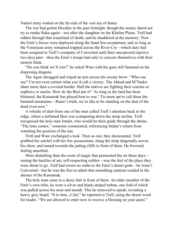Nadori army waited on the far side of the vast sea of dunes.

The war had gotten bloodier in the past fortnight, though the enemy dared not try to retake Raku again—not after the slaughter on the Khalim Plains. Trell had ridden through that wasteland of death, and he shuddered at the memory. Now the Emir's forces were deployed along the Sand Sea escarpment, and so long as the Veneisean army remained trapped across the River Cry—which duty had been assigned to Trell's company of Converted until their unexpected reprieve two days past—then the Emir's troops had only to concern themselves with their eastern flank.

"Do you think we'll win?" he asked Ware with his gaze still fastened on the dispersing dragons.

The Agasi shrugged and wiped an arm across his sweaty brow. "Who can say? I'm not even certain what you'd call a victory. The Akkad and M'Nador share more than a coveted border. Half the natives are fighting their cousins or nephews or uncles. How do the Basi put it? 'As long as the land has been blistered, the Kutsamak has played host to war.' Tis more apt to call these the haunted mountains—Raine's truth, we're like to be standing on the dust of the dead even now."

A whistle of alert from one of the men called Trell's attention back to the ridge, where a turbaned Basi was scampering down the steep incline. Trell recognized the holy man Istalar, who would be their guide through the shrine. "The time comes," someone commented, referencing Istalar's return from watching the position of the sun.

Trell and Ware exchanged a look. Then as one, they dismounted. Trell grabbed his satchel with his few possessions, slung the strap diagonally across his chest, and turned towards the jutting cliffs in front of them. He frowned, feeling unsettled.

More disturbing than the scent of magic that permeated the air these days raising the hackles of any self-respecting soldier—was the feel of the place they were about to go. Trell had sworn no oaths to the Emir's desert gods—he wasn't Converted—but he was the first to admit that something sentient resided in the shrines of the Kutsamak.

The holy man came to a dusty halt in front of them. An elder member of the Emir's own tribe, he wore a silver and black-striped turban, one fold of which was pulled across his nose and mouth. This he removed to speak, revealing a heavy grey beard. "It is time, *A'dal*," he reported to Trell, using the desert word for leader. "We are allowed to enter now to receive a blessing on your quest."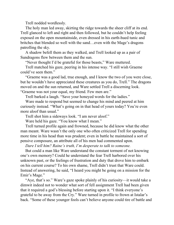Trell nodded wordlessly.

The holy man led away, skirting the ridge towards the sheer cliff at its end. Trell glanced to left and right and then followed, but he couldn't help feeling exposed on the open mountainside, even dressed in his earth-hued tunic and britches that blended so well with the sand…even with the Mage's dragons patrolling the sky.

A shadow befell them as they walked, and Trell looked up as a pair of Sundragons flew between them and the sun.

"Never thought I'd be grateful for those beasts," Ware muttered.

Trell matched his gaze, peering in his intense way. "I still wish Graeme could've seen them."

"Graeme was a good lad, true enough, and I know the two of you were close, but he wouldn't have appreciated these creatures as you do, Trell." The dragons moved on and the sun returned, and Ware settled Trell a discerning look. "Graeme was not your equal, my friend. Few men are."

Trell barked a laugh. "Save your honeyed words for the ladies."

Ware made to respond but seemed to change his mind and peered at him curiously instead. "What's going on in that head of yours today? You're even more aloof than usual."

Trell shot him a sideways look. "I am never aloof."

Ware held his gaze. "You know what I mean."

Trell turned profile again and frowned, because he did know what the other man meant. Ware wasn't the only one who often criticized Trell for spending more time in his head than was prudent; even in battle he maintained a sort of pensive composure, an attribute all of his men had commented upon.

*Dare I tell him? Raine's truth, I'm desperate to talk to someone.* 

But could a man like Ware understand the constant torment of not knowing one's own memory? Could he understand the fear Trell harbored over his unknown past, or the feelings of frustration and duty that drove him to embark on his current course? To his own shame, Trell didn't trust that Ware could. Instead of answering, he said, "I heard you might be going on a mission for the Emir's Mage."

"Aye, that's so." Ware's gaze spoke plainly of his curiosity—it would take a dimwit indeed not to wonder what sort of fell assignment Trell had been given that it required a god's blessing before starting upon it. "I think everyone's grateful to be away from the Cry." Ware turned in profile to frown at Istalar's back. "Some of these younger fools can't believe anyone could tire of battle and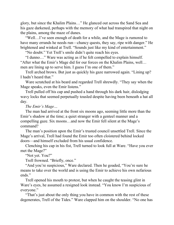glory, but since the Khalim Plains..." He glanced out across the Sand Sea and his gaze darkened, perhaps with the memory of what had transpired that night on the plains, among the maze of dunes.

"Well...I've seen enough of death for a while, and the Mage is rumored to have many errands he needs run—chancy quests, they say, ripe with danger." He brightened and winked at Trell. "Sounds just like my kind of entertainment."

"No doubt." Yet Trell's smile didn't quite reach his eyes.

"I dunno..." Ware was acting as if he felt compelled to explain himself. "After what the Emir's Mage did for our forces on the Khalim Plains, well... men are lining up to serve him. I guess I'm one of them."

Trell arched brows. But just as quickly his gaze narrowed again. "Lining up? I hadn't heard that."

Ware scratched at his beard and regarded Trell shrewdly. "They say when the Mage speaks, even the Emir listens."

Trell pulled off his cap and pushed a hand through his dark hair, dislodging wavy locks that seemed perpetually tousled despite having been beneath a hat all day.

*The Emir's Mage*...

The man had arrived at the front six moons ago, seeming little more than the Emir's shadow at the time; a quiet stranger with a genteel manner and a compelling gaze. Six moons...and now the Emir fell silent at the Mage's command?

The man's position upon the Emir's trusted council unsettled Trell. Since the Mage's arrival, Trell had found the Emir too often cloistered behind locked doors—and himself excluded from his usual confidence.

Clenching his cap in his fist, Trell turned to look full at Ware. "Have you ever met the Mage?"

"Not yet. You?"

Trell frowned. "Briefly, once."

"And you're suspicious," Ware declared. Then he goaded, "You're sure he means to take over the world and is using the Emir to achieve his own nefarious ends."

Trell opened his mouth to protest, but when he caught the teasing glint in Ware's eyes, he assumed a resigned look instead. "You know I'm suspicious of everyone."

"That's just about the only thing you have in common with the rest of these degenerates, Trell of the Tides." Ware clapped him on the shoulder. "No one has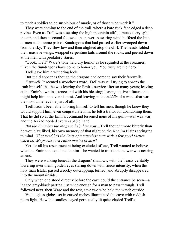to teach a soldier to be suspicious of magic, or of those who work it."

They were coming to the end of the trail, where a bare rock face edged a deep ravine. Even as Trell was assessing the high mountain cliff, a raucous cry split the air, and then a second followed in answer. A searing wind buffeted the line of men as the same pair of Sundragons that had passed earlier swooped down from the sky. They flew low and then alighted atop the cliff. The beasts folded their massive wings, wrapped serpentine tails around the rocks, and peered down at the men with predatory stares.

"Look, Trell" Ware's tone held dry humor as he squinted at the creatures. "Even the Sundragons have come to honor you. You truly are the hero."

Trell gave him a withering look.

But it did appear as though the dragons had come to say their farewells.

*Farewell*. It seemed a wondrous word. Trell was still trying to absorb the truth himself: that he was leaving the Emir's service after so many years; leaving at the Emir's own insistence and with his blessing; leaving to live a future that might help him uncover his past. And leaving in the *middle* of a war...that was the most unbelievable part of all.

Trell hadn't been able to bring himself to tell his men, though he knew they would support him, even congratulate him; he felt a traitor for abandoning them. That he did so at the Emir's command lessened none of his guilt—war was war, and the Akkad needed every capable hand.

*But the Emir has the Mage to help him now*...Trell thought more bitterly than he would've liked, his own memory of that night on the Khalim Plains springing to mind. What need has the *Emir* of a nameless man with a few good tactics when the Mage can turn entire armies to dust?

Yet for all his resentment at being excluded of late, Trell wanted to believe what the Emir had explained to him—he wanted to trust that the war was nearing an end.

They were walking beneath the dragons' shadows, with the beasts veritably towering over them, golden eyes staring down with fierce intensity, when the holy man Istalar passed a rocky outcropping, turned, and abruptly disappeared into the mountainside.

Only when one stood directly before the cave could the entrance be seen—a jagged grey-black parting just wide enough for a man to pass through. Trell followed next, then Ware and the rest, save two who held the watch outside.

Violet glass globes set in carved niches illuminated the cave with reddishplum light. How the candles stayed perpetually lit quite eluded Trell's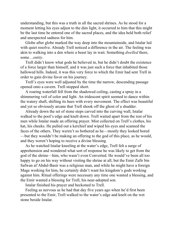understanding, but this was a truth in all the sacred shrines. As he stood for a moment letting his eyes adjust to the dim light, it occurred to him that this might be the last time he entered one of the sacred places, and the idea held both relief and unexpected sadness for him.

Globe after globe marked the way deep into the mountainside, and Istalar led with quiet resolve. Already Trell noticed a difference in the air. The feeling was akin to walking into a den where a beast lay in wait. Something *dwelled* there, some…*entity*.

Trell didn't know what gods he believed in, but he didn't doubt the existence of a force larger than himself, and it was just such a force that inhabited those hallowed hills. Indeed, it was this very force to which the Emir had sent Trell in order to gain divine favor on his journey.

Trell's eyes were well adjusted by the time the narrow, descending passage opened onto a cavern. Trell stopped short.

A roaring waterfall fell from the shadowed ceiling, casting a spray in a shimmering veil of color and light. An iridescent spirit seemed to dance within the watery shaft, shifting its hues with every movement. The effect was beautiful and yet so obviously arcane that Trell shook off the ghost of a shudder.

Already down the set of stone steps carved into the curving wall, Istalar walked to the pool's edge and knelt down. Trell waited apart from the rest of his men while Istalar made an offering prayer. Mist collected on Trell's clothes, his hat, his cheeks. He pulled out a kerchief and wiped his eyes and scanned the faces of the others. They weren't so bothered as he—mostly they looked bored —but they wouldn't be making an offering to the god of this place, as he would, and they weren't hoping to receive a divine blessing.

As he watched Istalar kneeling at the water's edge, Trell felt a surge of apprehension and wondered what sort of response he was likely to get from the god of the shrine—him, who wasn't even Converted. He would've been all too happy to go on his way without visiting the shrine at all, but the Emir Zafir bin Safwan al'Abdul-Basir was a religious man, and while he might have a foreign Mage working for him, he certainly didn't want his kingdom's gods working against him. Ritual offerings were necessary any time one wanted a blessing, and the Emir wanted a blessing for Trell, his near-adopted son.

Istalar finished his prayer and beckoned to Trell.

Feeling as nervous as he had that day five years ago when he'd first been presented to the Emir, Trell walked to the water's edge and knelt on the wet stone beside Istalar.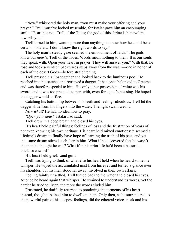"Now," whispered the holy man, "you must make your offering and your prayer." Trell must've looked miserable, for Istalar gave him an encouraging smile. "Fear thee not, Trell of the Tides; the god of this shrine is benevolent towards you."

Trell turned to him, wanting more than anything to know how he could be so certain. "Istalar...I don't know the right words to say."

The holy man's steady gaze seemed the embodiment of faith. "The gods know our *hearts*, Trell of the Tides. Words mean nothing to them. It is our souls they speak with. Open your heart in prayer. They will answer you." With that, he rose and took seventeen backwards steps away from the water—one in honor of each of the desert Gods—before straightening.

Trell pressed his lips together and looked back to the luminous pool. He reached into his satchel and retrieved a dagger. It had once belonged to Graeme and was therefore special to him. His only other possession of value was his sword, and it was too precious to part with, even for a god's blessing. He hoped the dagger would suffice.

Catching his bottom lip between his teeth and feeling ridiculous, Trell let the dagger slide from his fingers into the water. The light swallowed it.

*Now what?* He had no idea how to pray.

'*Open your heart'* Istalar had said.

Trell drew in a deep breath and closed his eyes.

His heart held painful things: feelings of loss and the frustration of years of not even knowing his own heritage. His heart held mixed emotions: it seemed a lifetime's dream to finally have hope of learning the truth of his past, and yet that same dream stirred such fear in him. What if he discovered that he wasn't the man he thought he was? What if in his prior life he'd been a bastard, a thief a coward?

His heart held grief...and guilt.

Trell was trying to think of what else his heart held when he heard someone whisper. He wiped the accumulated mist from his eyes and turned a glance over his shoulder, but his men stood far away, involved in their own affairs.

Feeling faintly unsettled, Trell turned back to the water and closed his eyes. At once he heard again that whisper. He strained to understand its words, yet the harder he tried to listen, the more the words eluded him.

Frustrated, he dutifully returned to pondering the torments of his heart instead, though it pained him to dwell on them. Only then, as he surrendered to the powerful pain of his deepest feelings, did the ethereal voice speak and his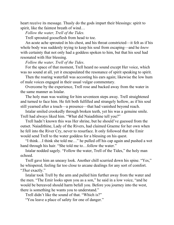heart receive its message. Thusly do the gods impart their blessings: spirit to spirit, like the faintest breath of wind...

*Follow the water, Trell of the Tides.* 

Trell sprouted gooseflesh from head to toe.

An acute ache sprouted in his chest, and his throat constricted—it felt as if his whole body was suddenly trying to keep his soul from escaping—and he *knew* with certainty that not only had a goddess spoken to him, but that his soul had resonated with Her blessing.

*Follow the water, Trell of the Tides.* 

For the space of that moment, Trell heard no sound except Her voice, which was no sound at all, yet it encapsulated the resonance of spirit speaking to spirit.

Then the roaring waterfall was accosting his ears again; likewise the low hum of male voices engaged in their usual vulgar commentary.

Overcome by the experience, Trell rose and backed away from the water in the same manner as Istalar.

The holy man was waiting for him seventeen steps away. Trell straightened and turned to face him. He felt both fulfilled and strangely hollow, as if his soul still yearned after a touch—a presence—that had vanished beyond reach.

Istalar smiled crookedly through broken teeth, yet his was a genuine smile. Trell had always liked him. "What did Naiadithine tell you?"

Trell hadn't known this was Her shrine, but he should've guessed from the outset. Naiadithine, Lady of the Rivers, had claimed Graeme for her own when he fell into the River Cry, never to resurface. It only followed that the Emir would send Trell to the water goddess for a blessing on his quest.

"I think...I think she told me..." he pulled off his cap again and pushed a wet hand through his hair. "She told me to...follow the water."

Istalar nodded sagely. "Follow the water, Trell of the Tides," the holy man echoed.

Trell gave him an uneasy look. Another chill scurried down his spine. "Yes," he whispered, feeling far too close to arcane dealings for any sort of comfort. "That exactly."

Istalar took Trell by the arm and pulled him further away from the water and the men. "The Emir looks upon you as a son," he said in a low voice, "and he would be bereaved should harm befall you. Before you journey into the west, there is something he wants you to understand."

Trell didn't like the sound of that. "Which is?"

"You leave a place of safety for one of danger."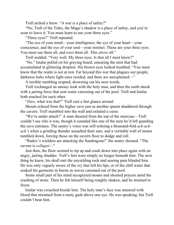Trell arched a brow. "A war is a place of safety?"

"No, Trell of the Tides, the Mage's shadow is a place of safety, and you're soon to leave it. You must learn to use your three eyes."

"Three eyes?" Trell repeated.

"The eye of your mind—your intelligence; the eye of your heart—your conscience; and the eye of your soul—your instinct. These are your three eyes. You must use them all, and *trust* them all. This *above* all."

Trell nodded. "Very well. My three eyes. Is that all I must know?"

"No." Istalar pulled on his greying beard, smearing the mist that had accumulated in glittering droplets. His brown eyes looked troubled. "You must know that the realm is not at rest. Far beyond this war that plagues our people, darkness lurks where light once resided, and there are unexplained—"

A terrible rumbling erupted, drowning out his next words.

Trell exchanged an uneasy look with the holy man, and then the earth shook with a jarring force that sent water careening out of the pool. Trell and Istalar both reached for each other.

"*Daw*, what was that?" Trell cast a fast glance around.

Shouts echoed from the higher cave just as another spasm shuddered through the cavern. Trell stumbled into the wall and exhaled a curse.

"We're under attack!" A man shouted from the top of the staircase—Trell couldn't see who it was, though it sounded like one of the men he'd left guarding the cave entrance. The sentry's voice was still echoing a thousand-fold *ack-ackack's* when a grinding thunder assaulted their ears, and a veritable wall of stones tumbled down, forcing those on the cavern floor to dodge and roll.

"Radov's wielders are attacking the Sundragons!" the sentry shouted. "The cavern is *collapsi*—"

Just then, the floor seemed to tip up and crash down into place again with an angry, jarring shudder. Trell's feet were simply no longer beneath him. The next thing he knew, his skull met the unyielding rock and searing pain blinded him. He was only vaguely aware of the cry that left his lips, or of the chill water that soaked his garments in bursts as waves careened out of the pool.

Some small part of his mind recognized moans and shouted prayers amid the crashing of stone. Then he felt himself being roughly shaken, and he strained to focus.

Istalar was crouched beside him. The holy man's face was smeared with blood that streamed from a nasty gash above one eye. He was speaking, but Trell couldn't hear him.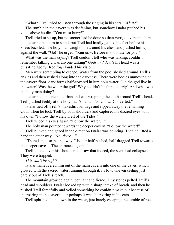"What?" Trell tried to listen through the ringing in his ears. "*What?*"

The rumble in the cavern was deafening, but somehow Istalar pitched his voice above its din. "You must hurry!"

Trell tried to sit up, but no sooner had he done so than vertigo overcame him.

Istalar helped him to stand, but Trell had hardly gained his feet before his knees buckled. The holy man caught him around his chest and pushed him up against the wall. "Go!" he urged. "Run *now*. Before it's too late for you!"

What was the man saying? Trell couldn't tell who was talking, couldn't remember talking…was anyone talking? *Gods and devils* his head was a pulsating agony! Red fog clouded his vision...

Men were scrambling to escape. Water from the pool sloshed around Trell's ankles and then rushed along into the darkness. There were bodies unmoving on the cavern floor, dark forms half-covered in luminous water. Did the god live in the water? Was the water the god? Why couldn't he think clearly? And what was the holy man doing?

Istalar had undone his turban and was wrapping the cloth around Trell's head. Trell pushed feebly at the holy man's hand. "No...not...Converted."

Istalar tied off Trell's makeshift bandage and ripped away the remaining cloth. Then he took Trell by both shoulders and captured his dizzied eyes with his own. "Follow the water, Trell of the Tides!"

Trell wiped his eyes again. "Follow the water..."

The holy man pointed towards the deeper cavern. "Follow the water!"

Trell blinked and gazed in the direction Istalar was pointing. Then he lifted a hand the other way. "No, *there*—"

"There is no escape that way!" Istalar half-pushed, half-dragged Trell towards the deeper caves. "The entrance is gone!"

Trell looked over his shoulder and saw that indeed, the steps had collapsed. They were trapped.

*This can't be right!* 

Istalar maneuvered him out of the main cavern into one of the caves, which glowed with the sacred water running through it, its low, uneven ceiling just barely out of Trell's reach.

The mountain growled again, petulant and fierce. Tiny stones pelted Trell's head and shoulders. Istalar looked up with a sharp intake of breath, and then he pushed Trell forcefully and yelled something he couldn't make out because of the roaring in the cavern—or perhaps it was the roaring in his ears.

Trell splashed face-down in the water, just barely escaping the tumble of rock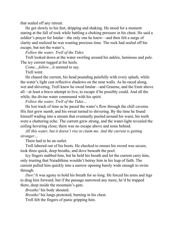that sealed off any retreat.

He got slowly to his feet, dripping and shaking. He stood for a moment staring at the fall of rock while battling a choking pressure in his chest. He said a soldier's prayer for Istalar—the only one he knew—and then felt a surge of clarity and realized he was wasting precious time. The rock had sealed off his escape, but not the water's.

*Follow the water, Trell of the Tides.* 

Trell looked down at the water swirling around his ankles, luminous and pale. The icy current tugged at his heels.

*Come*...*follow*...*it* seemed to say.

Trell went.

He chased the current, his head pounding painfully with every splash, while the water's light cast reflective shadows on the near walls. As he raced along, wet and shivering, Trell knew he owed Istalar—and Graeme, and the Emir above all—at least a brave attempt to live, to escape if he possibly could. And all the while, the divine water communed with his spirit.

*Follow the water, Trell of the Tides...* 

He lost track of time as he paced the water's flow through the chill caverns. His feet grew numb, and his sweat turned to shivering. By the time he found himself wading into a stream that eventually pooled around his waist, his teeth were a chattering echo. The current grew strong, and the water-light revealed the ceiling hovering close; there was no escape above and none behind.

All this water, but it doesn't rise to claim me. And the current is getting *stronger…*

There had to be an outlet.

Trell labored out of his boots. He checked to ensure his sword was secure, took three quick, deep breaths, and dove beneath the pool.

Icy fingers stabbed him, but he held his breath and let the current carry him, only trusting that Naiadithine wouldn't betray him in his leap of faith. The current pulled him quickly into a narrow opening barely wide enough to swim through.

*Daw!* It was agony to hold his breath for so long. He forced his arms and legs to drag him forward, but if the passage narrowed any more, he'd be trapped there, deep inside the mountain's guts.

*Breathe!* his body shouted.

*Breathe!* his lungs protested, burning in his chest.

Trell felt the fingers of panic gripping him.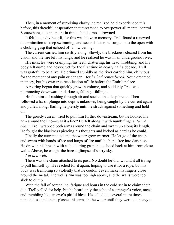Then, in a moment of surprising clarity, he realized he'd experienced this before, this dreadful desperation that threatened to overpower all mental control. Somewhere, at some point in time... he'd almost drowned.

It felt like a divine gift, for this was his *own* memory. Trell found a renewed determination to keep swimming, and seconds later, he surged into the open with a choking gasp that echoed off a low ceiling.

The current carried him swiftly along. Slowly, the blackness cleared from his vision and the fire left his lungs, and he realized he was in an underground river.

His muscles were cramping, his teeth chattering, his head throbbing, and his body felt numb and heavy; yet for the first time in nearly half a decade, Trell was grateful to be alive. He grinned stupidly as the river carried him, oblivious for the moment of any pain or danger—for *he had remembered!* Not a dreamed memory, but his own true recollection of life before the Emir's palace.

A roaring began that quickly grew in volume, and suddenly Trell was plummeting downward in darkness, falling…falling…

He felt himself rushing through air and sucked in a deep breath. Then followed a harsh plunge into depths unknown, being caught by the current again and pulled along, flailing helplessly until he struck against something and held on.

The greedy current tried to pull him further downstream, but he hooked his arm around the line—was it a line? He felt along it with numb fingers. *No. A chain*. Trell wrapped both arms around the chain and swam up along its length. He fought the blackness piercing his thoughts and kicked as hard as he could.

Finally the current died and the water grew warmer. He let go of the chain and swam with hands of ice and lungs of fire until he burst free into darkness. He drew in his breath with a shuddering gasp that echoed back at him from close walls. Above, he caught the barest glimpse of starry sky.

#### *I'm in a well.*

There was the chain attached to its post. No doubt he'd unwound it all trying to pull himself up. He reached for it again, hoping to use it for a rope, but his body was trembling so violently that he couldn't even make his fingers close around the metal. The well's rim was too high above, and the walls were too slick to climb.

With the fall of adrenaline, fatigue and hours in the cold set in to claim their due. Trell yelled for help, but he heard only the echo of a stranger's voice, meek and trembling like an ewe's pitiful bleat. He called out several more times nonetheless, and then splashed his arms in the water until they were too heavy to